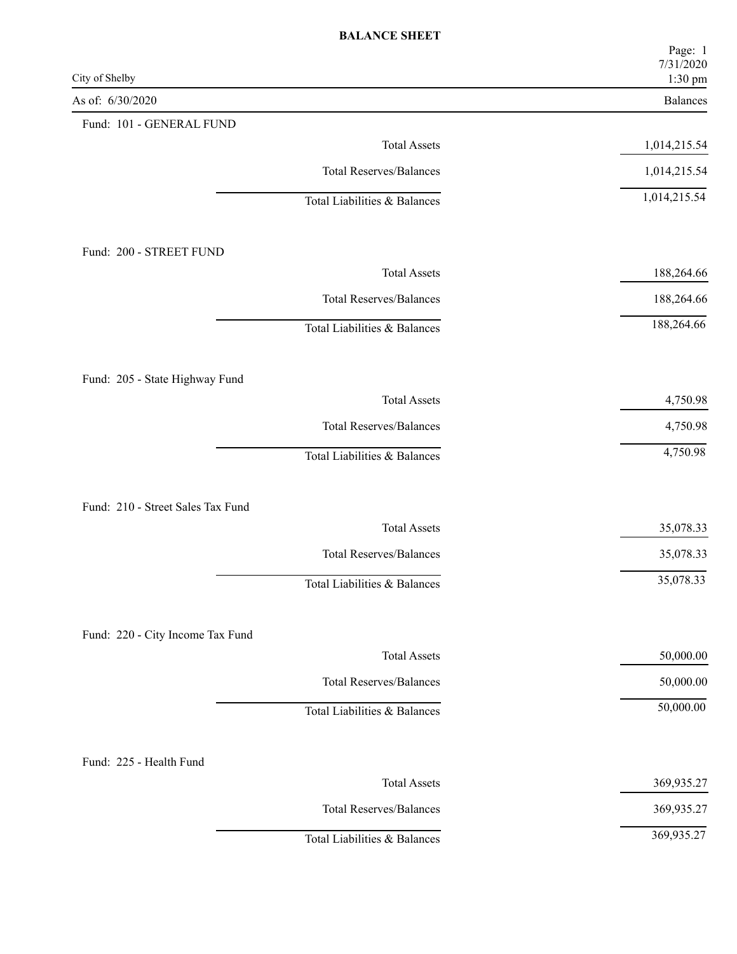| City of Shelby                    | Page: 1<br>7/31/2020<br>1:30 pm |
|-----------------------------------|---------------------------------|
| As of: 6/30/2020                  | Balances                        |
| Fund: 101 - GENERAL FUND          |                                 |
| <b>Total Assets</b>               | 1,014,215.54                    |
| <b>Total Reserves/Balances</b>    | 1,014,215.54                    |
| Total Liabilities & Balances      | 1,014,215.54                    |
| Fund: 200 - STREET FUND           |                                 |
| <b>Total Assets</b>               | 188,264.66                      |
| <b>Total Reserves/Balances</b>    | 188,264.66                      |
| Total Liabilities & Balances      | 188,264.66                      |
| Fund: 205 - State Highway Fund    |                                 |
| <b>Total Assets</b>               | 4,750.98                        |
| <b>Total Reserves/Balances</b>    | 4,750.98                        |
| Total Liabilities & Balances      | 4,750.98                        |
| Fund: 210 - Street Sales Tax Fund |                                 |
| <b>Total Assets</b>               | 35,078.33                       |
| <b>Total Reserves/Balances</b>    | 35,078.33                       |
| Total Liabilities & Balances      | 35,078.33                       |
| Fund: 220 - City Income Tax Fund  |                                 |
| <b>Total Assets</b>               | 50,000.00                       |
| <b>Total Reserves/Balances</b>    | 50,000.00                       |
| Total Liabilities & Balances      | 50,000.00                       |
| Fund: 225 - Health Fund           |                                 |
| <b>Total Assets</b>               | 369,935.27                      |
| <b>Total Reserves/Balances</b>    | 369,935.27                      |
| Total Liabilities & Balances      | 369,935.27                      |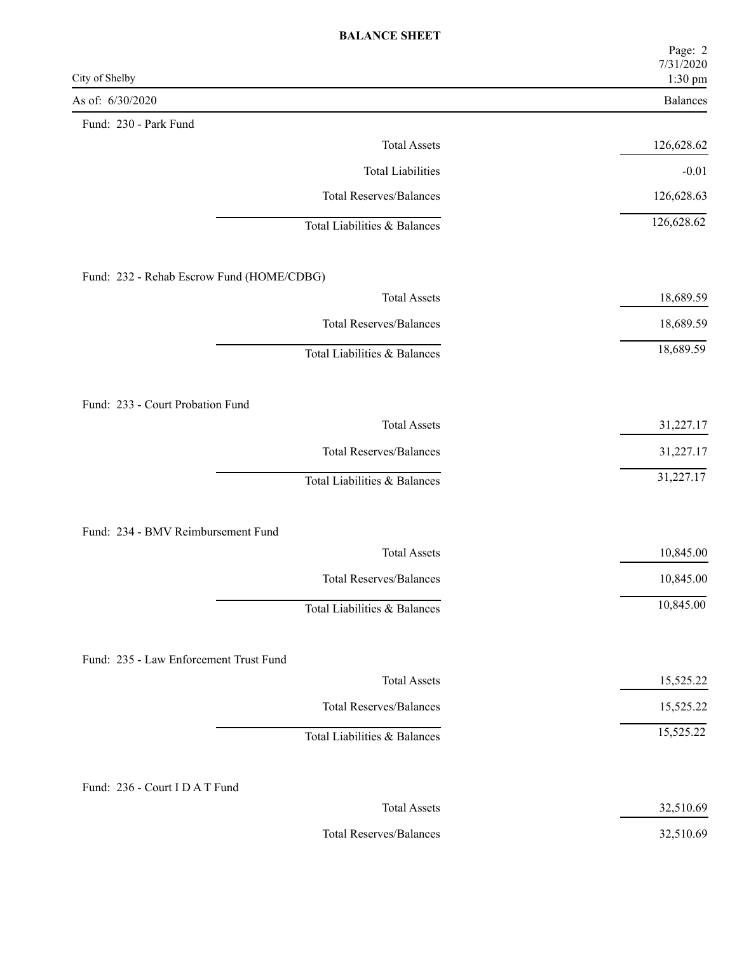| City of Shelby                            | Page: 2<br>7/31/2020<br>1:30 pm |
|-------------------------------------------|---------------------------------|
| As of: 6/30/2020                          | Balances                        |
| Fund: 230 - Park Fund                     |                                 |
| <b>Total Assets</b>                       | 126,628.62                      |
| <b>Total Liabilities</b>                  | $-0.01$                         |
| <b>Total Reserves/Balances</b>            | 126,628.63                      |
| Total Liabilities & Balances              | 126,628.62                      |
| Fund: 232 - Rehab Escrow Fund (HOME/CDBG) |                                 |
| <b>Total Assets</b>                       | 18,689.59                       |
| <b>Total Reserves/Balances</b>            | 18,689.59                       |
| Total Liabilities & Balances              | 18,689.59                       |
| Fund: 233 - Court Probation Fund          |                                 |
| <b>Total Assets</b>                       | 31,227.17                       |
| <b>Total Reserves/Balances</b>            | 31,227.17                       |
| Total Liabilities & Balances              | 31,227.17                       |
| Fund: 234 - BMV Reimbursement Fund        |                                 |
| <b>Total Assets</b>                       | 10,845.00                       |
| <b>Total Reserves/Balances</b>            | 10,845.00                       |
| Total Liabilities & Balances              | 10,845.00                       |
| Fund: 235 - Law Enforcement Trust Fund    |                                 |
| <b>Total Assets</b>                       | 15,525.22                       |
| <b>Total Reserves/Balances</b>            | 15,525.22                       |
| Total Liabilities & Balances              | 15,525.22                       |
| Fund: 236 - Court I D A T Fund            |                                 |
| <b>Total Assets</b>                       | 32,510.69                       |
| <b>Total Reserves/Balances</b>            | 32,510.69                       |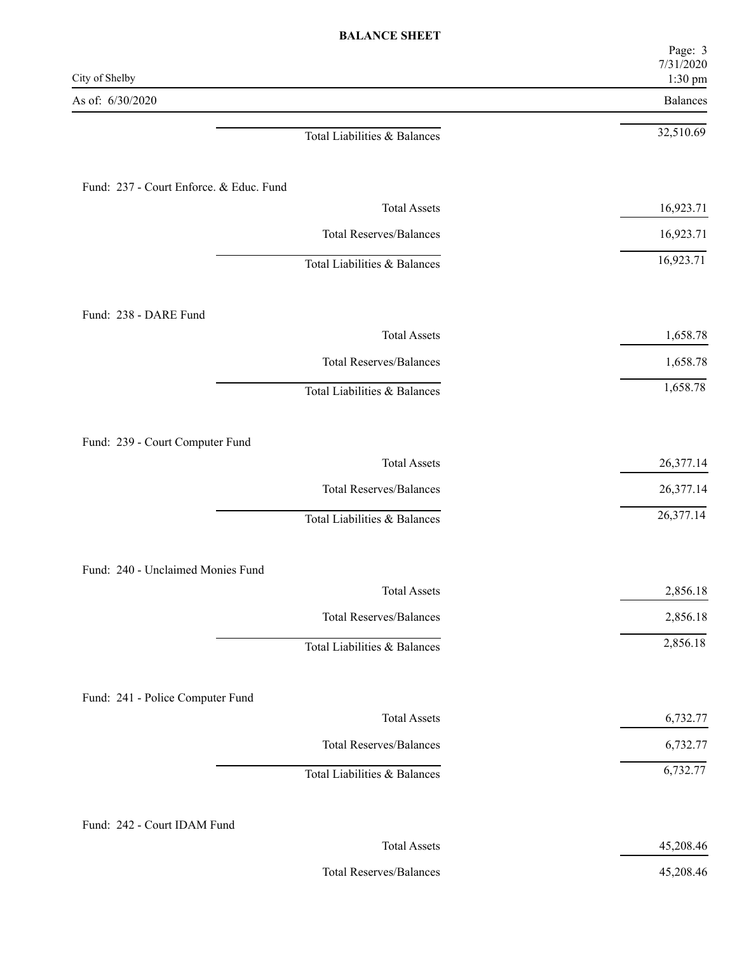| City of Shelby                          | Page: 3<br>7/31/2020<br>1:30 pm |
|-----------------------------------------|---------------------------------|
| As of: 6/30/2020                        | Balances                        |
| Total Liabilities & Balances            | 32,510.69                       |
| Fund: 237 - Court Enforce. & Educ. Fund |                                 |
| <b>Total Assets</b>                     | 16,923.71                       |
| <b>Total Reserves/Balances</b>          | 16,923.71                       |
| Total Liabilities & Balances            | 16,923.71                       |
| Fund: 238 - DARE Fund                   |                                 |
| <b>Total Assets</b>                     | 1,658.78                        |
| <b>Total Reserves/Balances</b>          | 1,658.78                        |
| Total Liabilities & Balances            | 1,658.78                        |
| Fund: 239 - Court Computer Fund         |                                 |
| <b>Total Assets</b>                     | 26,377.14                       |
| <b>Total Reserves/Balances</b>          | 26,377.14                       |
| Total Liabilities & Balances            | 26,377.14                       |
| Fund: 240 - Unclaimed Monies Fund       |                                 |
| <b>Total Assets</b>                     | 2,856.18                        |
| <b>Total Reserves/Balances</b>          | 2,856.18                        |
| Total Liabilities & Balances            | 2,856.18                        |
| Fund: 241 - Police Computer Fund        |                                 |
| <b>Total Assets</b>                     | 6,732.77                        |
| <b>Total Reserves/Balances</b>          | 6,732.77                        |
| Total Liabilities & Balances            | 6,732.77                        |
| Fund: 242 - Court IDAM Fund             |                                 |
| <b>Total Assets</b>                     | 45,208.46                       |
|                                         |                                 |

Total Reserves/Balances 45,208.46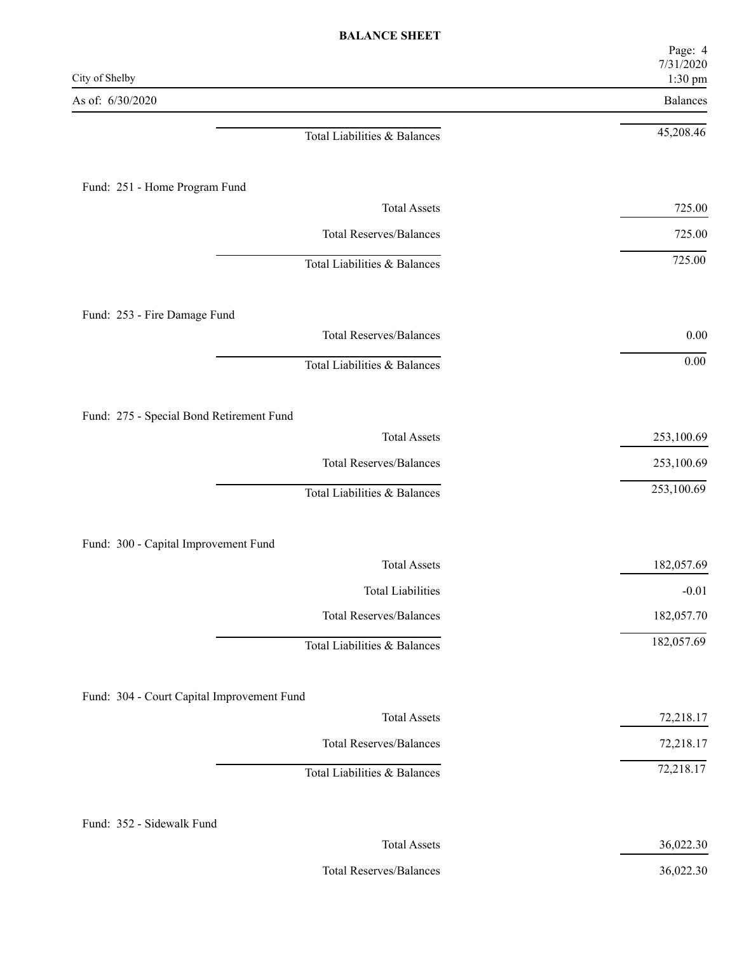| <b>BALANCE SHEET</b>                                            |                      |
|-----------------------------------------------------------------|----------------------|
|                                                                 | Page: 4<br>7/31/2020 |
| City of Shelby                                                  | 1:30 pm              |
| As of: 6/30/2020                                                | Balances             |
| Total Liabilities & Balances                                    | 45,208.46            |
|                                                                 |                      |
| Fund: 251 - Home Program Fund                                   |                      |
| <b>Total Assets</b>                                             | 725.00               |
| <b>Total Reserves/Balances</b>                                  | 725.00               |
| Total Liabilities & Balances                                    | 725.00               |
|                                                                 |                      |
| Fund: 253 - Fire Damage Fund                                    |                      |
| <b>Total Reserves/Balances</b>                                  | $0.00\,$             |
| Total Liabilities & Balances                                    | $0.00\,$             |
|                                                                 |                      |
| Fund: 275 - Special Bond Retirement Fund<br><b>Total Assets</b> | 253,100.69           |
| <b>Total Reserves/Balances</b>                                  | 253,100.69           |
| Total Liabilities & Balances                                    | 253,100.69           |
|                                                                 |                      |
| Fund: 300 - Capital Improvement Fund                            |                      |
| <b>Total Assets</b>                                             | 182,057.69           |
| <b>Total Liabilities</b>                                        | $-0.01$              |
| <b>Total Reserves/Balances</b>                                  | 182,057.70           |
| Total Liabilities & Balances                                    | 182,057.69           |
|                                                                 |                      |
| Fund: 304 - Court Capital Improvement Fund                      |                      |
| <b>Total Assets</b>                                             | 72,218.17            |
| <b>Total Reserves/Balances</b>                                  | 72,218.17            |
| Total Liabilities & Balances                                    | 72,218.17            |
|                                                                 |                      |
| Fund: 352 - Sidewalk Fund<br><b>Total Assets</b>                |                      |
|                                                                 | 36,022.30            |
| <b>Total Reserves/Balances</b>                                  | 36,022.30            |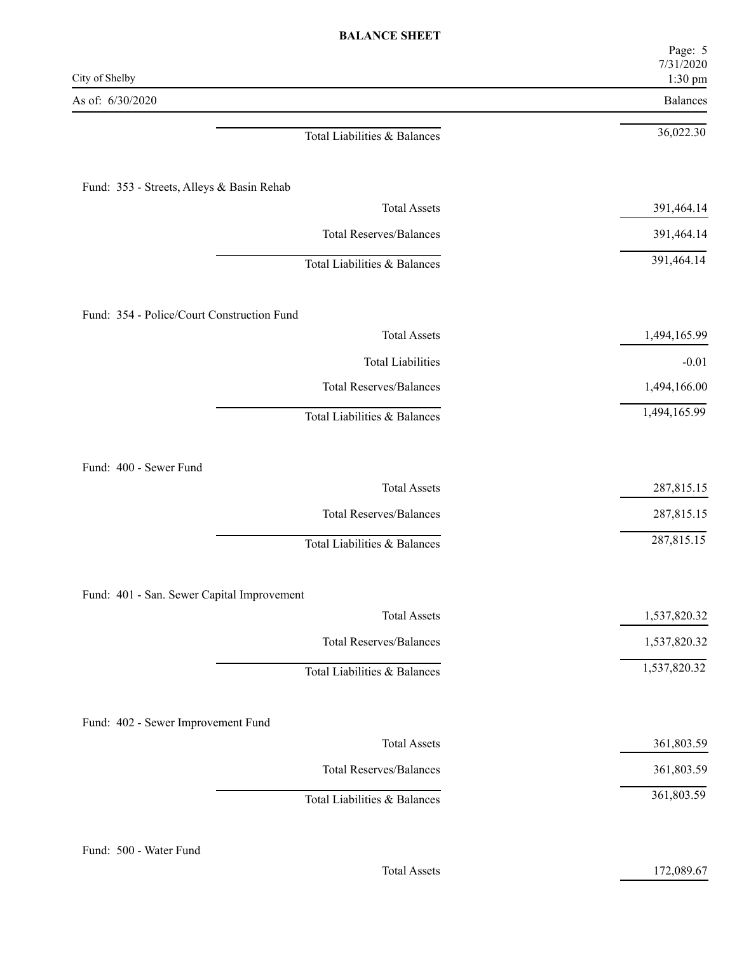| City of Shelby                                            | Page: 5<br>7/31/2020<br>1:30 pm |
|-----------------------------------------------------------|---------------------------------|
| As of: 6/30/2020                                          | Balances                        |
| Total Liabilities & Balances                              | 36,022.30                       |
| Fund: 353 - Streets, Alleys & Basin Rehab                 |                                 |
| <b>Total Assets</b>                                       | 391,464.14                      |
| <b>Total Reserves/Balances</b>                            | 391,464.14                      |
| Total Liabilities & Balances                              | 391,464.14                      |
| Fund: 354 - Police/Court Construction Fund                |                                 |
| <b>Total Assets</b>                                       | 1,494,165.99                    |
| <b>Total Liabilities</b>                                  | $-0.01$                         |
| <b>Total Reserves/Balances</b>                            | 1,494,166.00                    |
| Total Liabilities & Balances                              | 1,494,165.99                    |
|                                                           |                                 |
| Fund: 400 - Sewer Fund<br><b>Total Assets</b>             | 287,815.15                      |
| <b>Total Reserves/Balances</b>                            | 287,815.15                      |
| Total Liabilities & Balances                              | 287,815.15                      |
| Fund: 401 - San. Sewer Capital Improvement                |                                 |
| <b>Total Assets</b>                                       | 1,537,820.32                    |
| <b>Total Reserves/Balances</b>                            | 1,537,820.32                    |
| Total Liabilities & Balances                              | 1,537,820.32                    |
|                                                           |                                 |
|                                                           |                                 |
| Fund: 402 - Sewer Improvement Fund<br><b>Total Assets</b> | 361,803.59                      |
| <b>Total Reserves/Balances</b>                            | 361,803.59                      |

Total Assets 172,089.67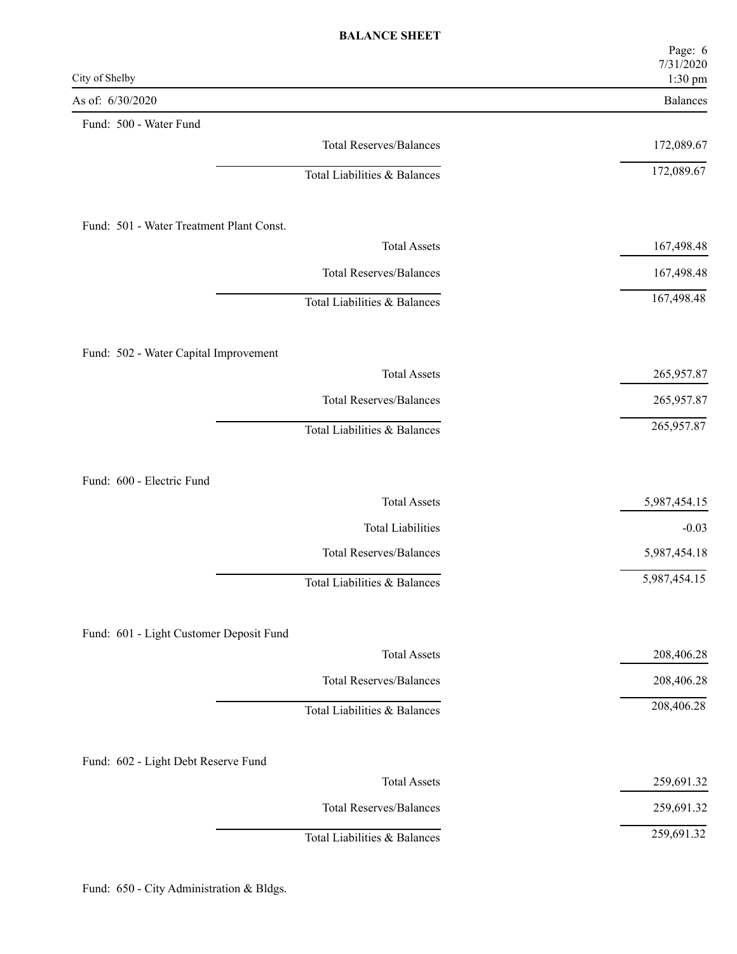|                                          | Page: 6<br>7/31/2020 |
|------------------------------------------|----------------------|
| City of Shelby                           | 1:30 pm              |
| As of: 6/30/2020                         | Balances             |
| Fund: 500 - Water Fund                   |                      |
| <b>Total Reserves/Balances</b>           | 172,089.67           |
| Total Liabilities & Balances             | 172,089.67           |
| Fund: 501 - Water Treatment Plant Const. |                      |
| <b>Total Assets</b>                      | 167,498.48           |
| <b>Total Reserves/Balances</b>           | 167,498.48           |
| Total Liabilities & Balances             | 167,498.48           |
| Fund: 502 - Water Capital Improvement    |                      |
| <b>Total Assets</b>                      | 265,957.87           |
| <b>Total Reserves/Balances</b>           | 265,957.87           |
| Total Liabilities & Balances             | 265,957.87           |
|                                          |                      |
| Fund: 600 - Electric Fund                |                      |
| <b>Total Assets</b>                      | 5,987,454.15         |
| <b>Total Liabilities</b>                 | $-0.03$              |
| <b>Total Reserves/Balances</b>           | 5,987,454.18         |
| Total Liabilities & Balances             | 5,987,454.15         |
| Fund: 601 - Light Customer Deposit Fund  |                      |
| <b>Total Assets</b>                      | 208,406.28           |
| <b>Total Reserves/Balances</b>           | 208,406.28           |
| Total Liabilities & Balances             | 208,406.28           |
|                                          |                      |
| Fund: 602 - Light Debt Reserve Fund      |                      |
| <b>Total Assets</b>                      | 259,691.32           |
| <b>Total Reserves/Balances</b>           | 259,691.32           |
| Total Liabilities & Balances             | 259,691.32           |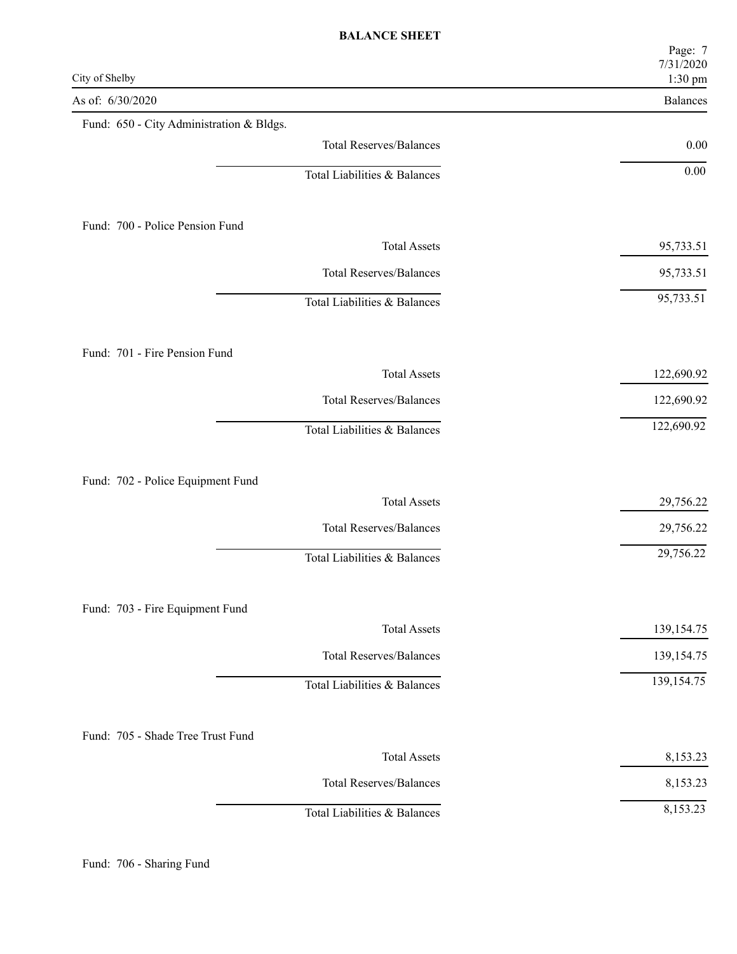|                                                        | Page: 7<br>7/31/2020<br>$1:30~\mathrm{pm}$ |
|--------------------------------------------------------|--------------------------------------------|
| City of Shelby                                         |                                            |
| As of: 6/30/2020                                       | Balances                                   |
| Fund: 650 - City Administration & Bldgs.               |                                            |
| <b>Total Reserves/Balances</b>                         | 0.00                                       |
| Total Liabilities & Balances                           | $0.00\,$                                   |
| Fund: 700 - Police Pension Fund                        |                                            |
| <b>Total Assets</b>                                    | 95,733.51                                  |
| <b>Total Reserves/Balances</b>                         | 95,733.51                                  |
| Total Liabilities & Balances                           | 95,733.51                                  |
| Fund: 701 - Fire Pension Fund                          |                                            |
| <b>Total Assets</b>                                    | 122,690.92                                 |
| <b>Total Reserves/Balances</b>                         | 122,690.92                                 |
| Total Liabilities & Balances                           | 122,690.92                                 |
|                                                        |                                            |
| Fund: 702 - Police Equipment Fund                      |                                            |
| <b>Total Assets</b>                                    | 29,756.22                                  |
| <b>Total Reserves/Balances</b>                         | 29,756.22                                  |
| Total Liabilities & Balances                           | 29,756.22                                  |
|                                                        |                                            |
| Fund: 703 - Fire Equipment Fund<br><b>Total Assets</b> | 139, 154. 75                               |
| <b>Total Reserves/Balances</b>                         | 139, 154. 75                               |
| Total Liabilities & Balances                           | 139, 154. 75                               |
|                                                        |                                            |
| Fund: 705 - Shade Tree Trust Fund                      |                                            |
| <b>Total Assets</b>                                    | 8,153.23                                   |
| <b>Total Reserves/Balances</b>                         | 8,153.23                                   |
| Total Liabilities & Balances                           | 8,153.23                                   |